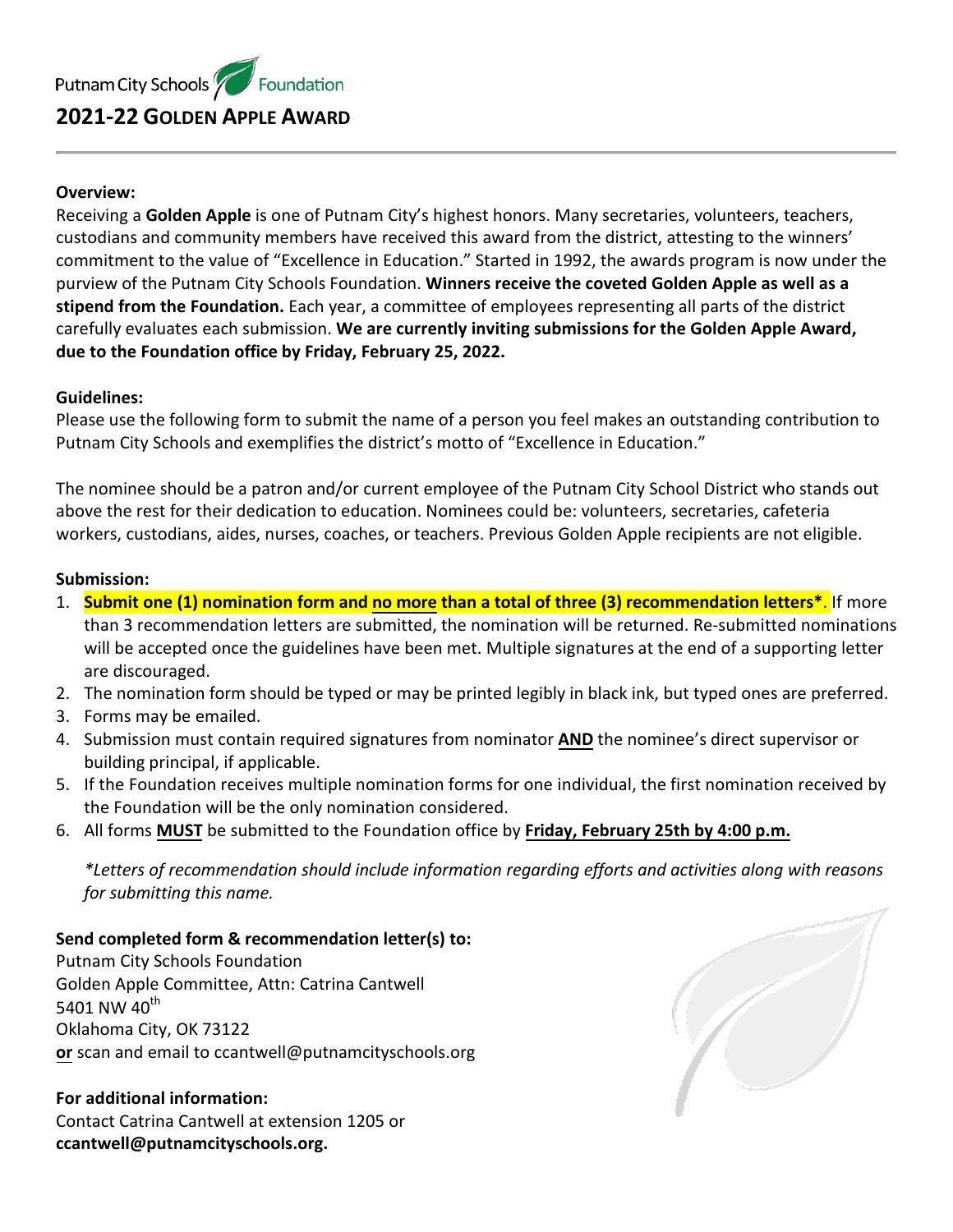## **Overview:**

Receiving a **Golden Apple** is one of Putnam City's highest honors. Many secretaries, volunteers, teachers, custodians and community members have received this award from the district, attesting to the winners' commitment to the value of "Excellence in Education." Started in 1992, the awards program is now under the purview of the Putnam City Schools Foundation. **Winners receive the coveted Golden Apple as well as a stipend from the Foundation.** Each year, a committee of employees representing all parts of the district carefully evaluates each submission. **We are currently inviting submissions for the Golden Apple Award, due to the Foundation office by Friday, February 25, 2022.**

### **Guidelines:**

Please use the following form to submit the name of a person you feel makes an outstanding contribution to Putnam City Schools and exemplifies the district's motto of "Excellence in Education."

The nominee should be a patron and/or current employee of the Putnam City School District who stands out above the rest for their dedication to education. Nominees could be: volunteers, secretaries, cafeteria workers, custodians, aides, nurses, coaches, or teachers. Previous Golden Apple recipients are not eligible.

#### **Submission:**

- 1. **Submit one (1) nomination form and no more than a total of three (3) recommendation letters\***. If more than 3 recommendation letters are submitted, the nomination will be returned. Re-submitted nominations will be accepted once the guidelines have been met. Multiple signatures at the end of a supporting letter are discouraged.
- 2. The nomination form should be typed or may be printed legibly in black ink, but typed ones are preferred.
- 3. Forms may be emailed.
- 4. Submission must contain required signatures from nominator **AND** the nominee's direct supervisor or building principal, if applicable.
- 5. If the Foundation receives multiple nomination forms for one individual, the first nomination received by the Foundation will be the only nomination considered.
- 6. All forms **MUST** be submitted to the Foundation office by **Friday, February 25th by 4:00 p.m.**

*\*Letters of recommendation should include information regarding efforts and activities along with reasons for submitting this name.*

# **Send completed form & recommendation letter(s) to:**

Putnam City Schools Foundation Golden Apple Committee, Attn: Catrina Cantwell 5401 NW 40<sup>th</sup> Oklahoma City, OK 73122 **or** scan and email to ccantwell@putnamcityschools.org

# **For additional information:**  Contact Catrina Cantwell at extension 1205 or

**ccantwell@putnamcityschools.org.**